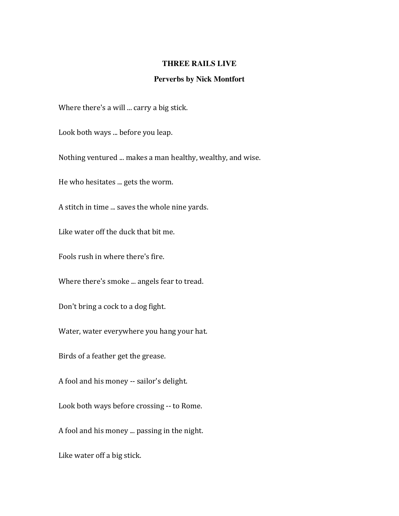## **THREE RAILS LIVE**

## **Perverbs by Nick Montfort**

Where there's a will ... carry a big stick.

Look both ways ... before you leap.

Nothing ventured ... makes a man healthy, wealthy, and wise.

He who hesitates ... gets the worm.

A stitch in time ... saves the whole nine yards.

Like water off the duck that bit me.

Fools rush in where there's fire.

Where there's smoke ... angels fear to tread.

Don't bring a cock to a dog fight.

Water, water everywhere you hang your hat.

Birds of a feather get the grease.

A fool and his money -- sailor's delight.

Look both ways before crossing -- to Rome.

A fool and his money ... passing in the night.

Like water off a big stick.